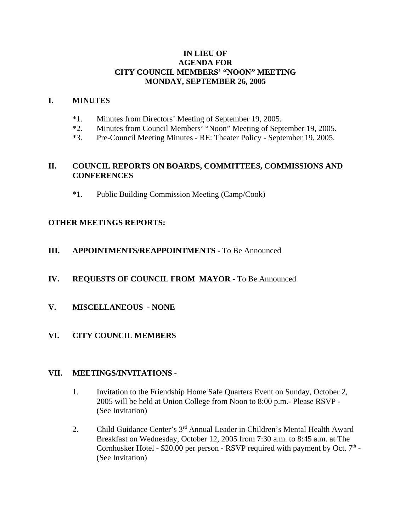## **IN LIEU OF AGENDA FOR CITY COUNCIL MEMBERS' "NOON" MEETING MONDAY, SEPTEMBER 26, 2005**

#### **I. MINUTES**

- \*1. Minutes from Directors' Meeting of September 19, 2005.
- \*2. Minutes from Council Members' "Noon" Meeting of September 19, 2005.
- \*3. Pre-Council Meeting Minutes RE: Theater Policy September 19, 2005.

## **II. COUNCIL REPORTS ON BOARDS, COMMITTEES, COMMISSIONS AND CONFERENCES**

\*1. Public Building Commission Meeting (Camp/Cook)

### **OTHER MEETINGS REPORTS:**

# **III.** APPOINTMENTS/REAPPOINTMENTS - To Be Announced

# **IV. REQUESTS OF COUNCIL FROM MAYOR -** To Be Announced

**V. MISCELLANEOUS - NONE** 

# **VI. CITY COUNCIL MEMBERS**

#### **VII. MEETINGS/INVITATIONS -**

- 1. Invitation to the Friendship Home Safe Quarters Event on Sunday, October 2, 2005 will be held at Union College from Noon to 8:00 p.m.- Please RSVP - (See Invitation)
- 2. Child Guidance Center's 3<sup>rd</sup> Annual Leader in Children's Mental Health Award Breakfast on Wednesday, October 12, 2005 from 7:30 a.m. to 8:45 a.m. at The Cornhusker Hotel - \$20.00 per person - RSVP required with payment by Oct.  $7<sup>th</sup>$  -(See Invitation)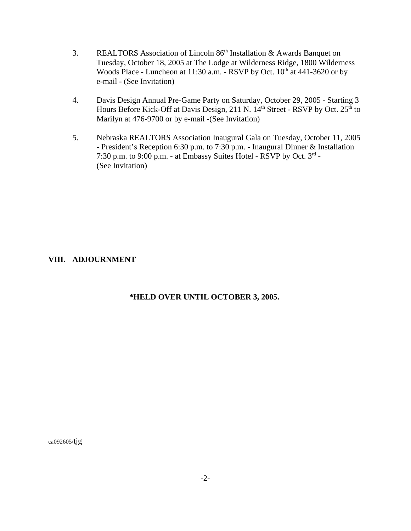- 3. REALTORS Association of Lincoln 86<sup>th</sup> Installation & Awards Banquet on Tuesday, October 18, 2005 at The Lodge at Wilderness Ridge, 1800 Wilderness Woods Place - Luncheon at  $11:30$  a.m. - RSVP by Oct.  $10<sup>th</sup>$  at  $441-3620$  or by e-mail - (See Invitation)
- 4. Davis Design Annual Pre-Game Party on Saturday, October 29, 2005 Starting 3 Hours Before Kick-Off at Davis Design, 211 N. 14<sup>th</sup> Street - RSVP by Oct. 25<sup>th</sup> to Marilyn at 476-9700 or by e-mail -(See Invitation)
- 5. Nebraska REALTORS Association Inaugural Gala on Tuesday, October 11, 2005 - President's Reception 6:30 p.m. to 7:30 p.m. - Inaugural Dinner & Installation 7:30 p.m. to 9:00 p.m. - at Embassy Suites Hotel - RSVP by Oct. 3rd - (See Invitation)

# **VIII. ADJOURNMENT**

# **\*HELD OVER UNTIL OCTOBER 3, 2005.**

ca092605/tjg